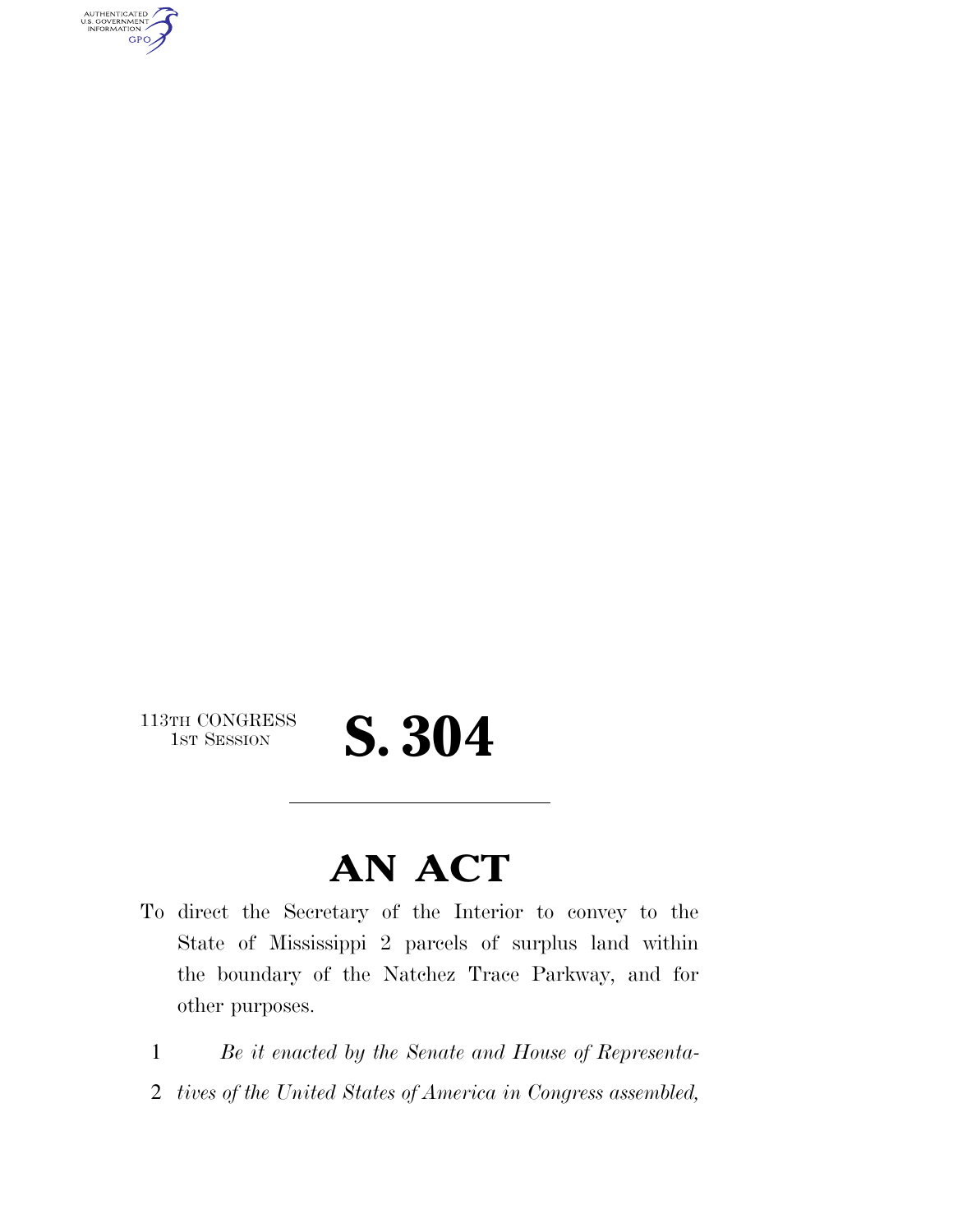AUTHENTICATED<br>U.S. GOVERNMENT<br>INFORMATION **GPO** 

113TH CONGRESS<br>1st Session

## S. 304

### **AN ACT**

- To direct the Secretary of the Interior to convey to the State of Mississippi 2 parcels of surplus land within the boundary of the Natchez Trace Parkway, and for other purposes.
	- 1 *Be it enacted by the Senate and House of Representa-*
	- 2 *tives of the United States of America in Congress assembled,*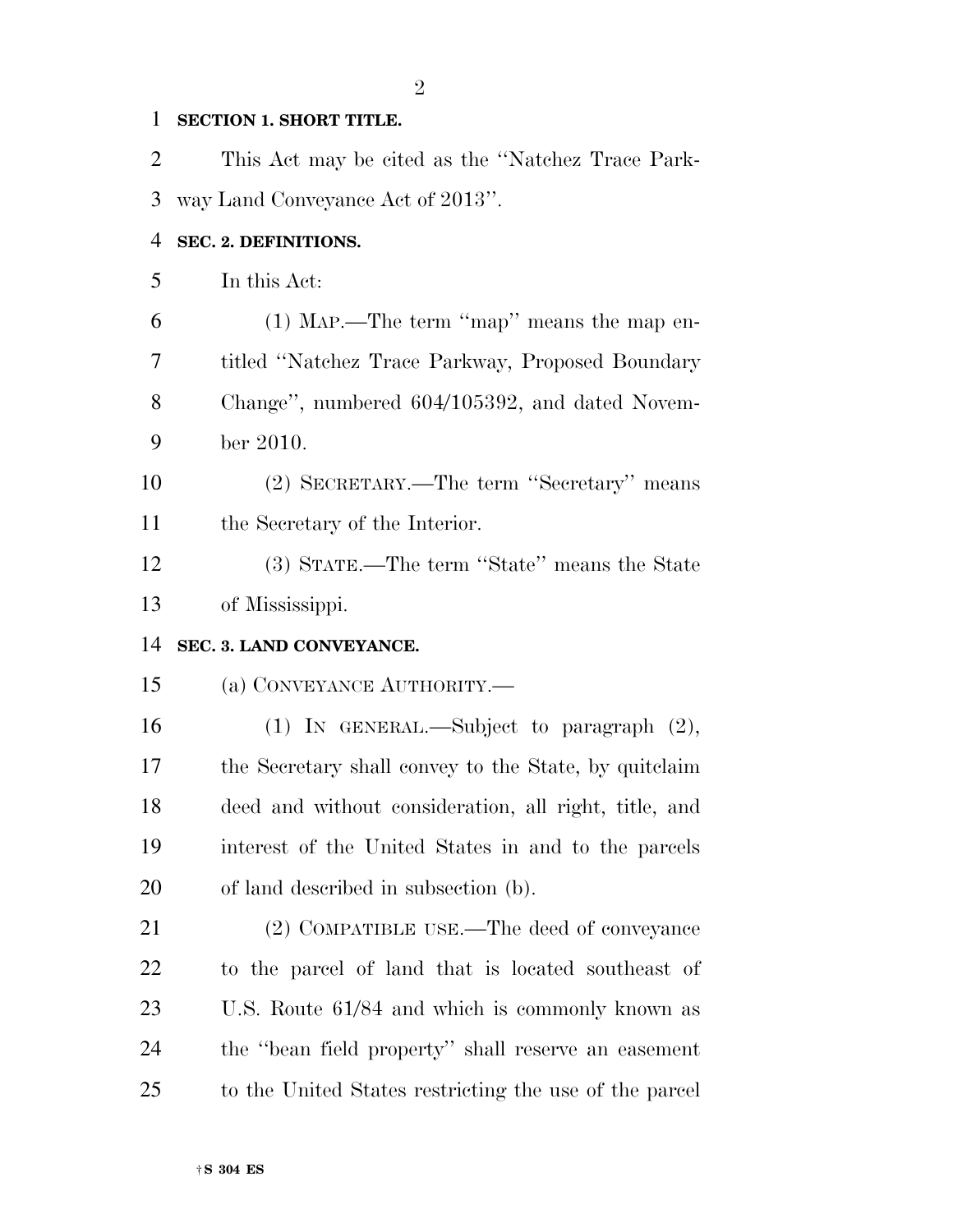#### **SECTION 1. SHORT TITLE.**

 This Act may be cited as the ''Natchez Trace Park- way Land Conveyance Act of 2013''. **SEC. 2. DEFINITIONS.**  In this Act: (1) MAP.—The term ''map'' means the map en- titled ''Natchez Trace Parkway, Proposed Boundary Change'', numbered 604/105392, and dated Novem- ber 2010. (2) SECRETARY.—The term ''Secretary'' means the Secretary of the Interior. (3) STATE.—The term ''State'' means the State of Mississippi. **SEC. 3. LAND CONVEYANCE.**  (a) CONVEYANCE AUTHORITY.— (1) IN GENERAL.—Subject to paragraph (2), the Secretary shall convey to the State, by quitclaim deed and without consideration, all right, title, and interest of the United States in and to the parcels of land described in subsection (b). (2) COMPATIBLE USE.—The deed of conveyance to the parcel of land that is located southeast of U.S. Route 61/84 and which is commonly known as the ''bean field property'' shall reserve an easement to the United States restricting the use of the parcel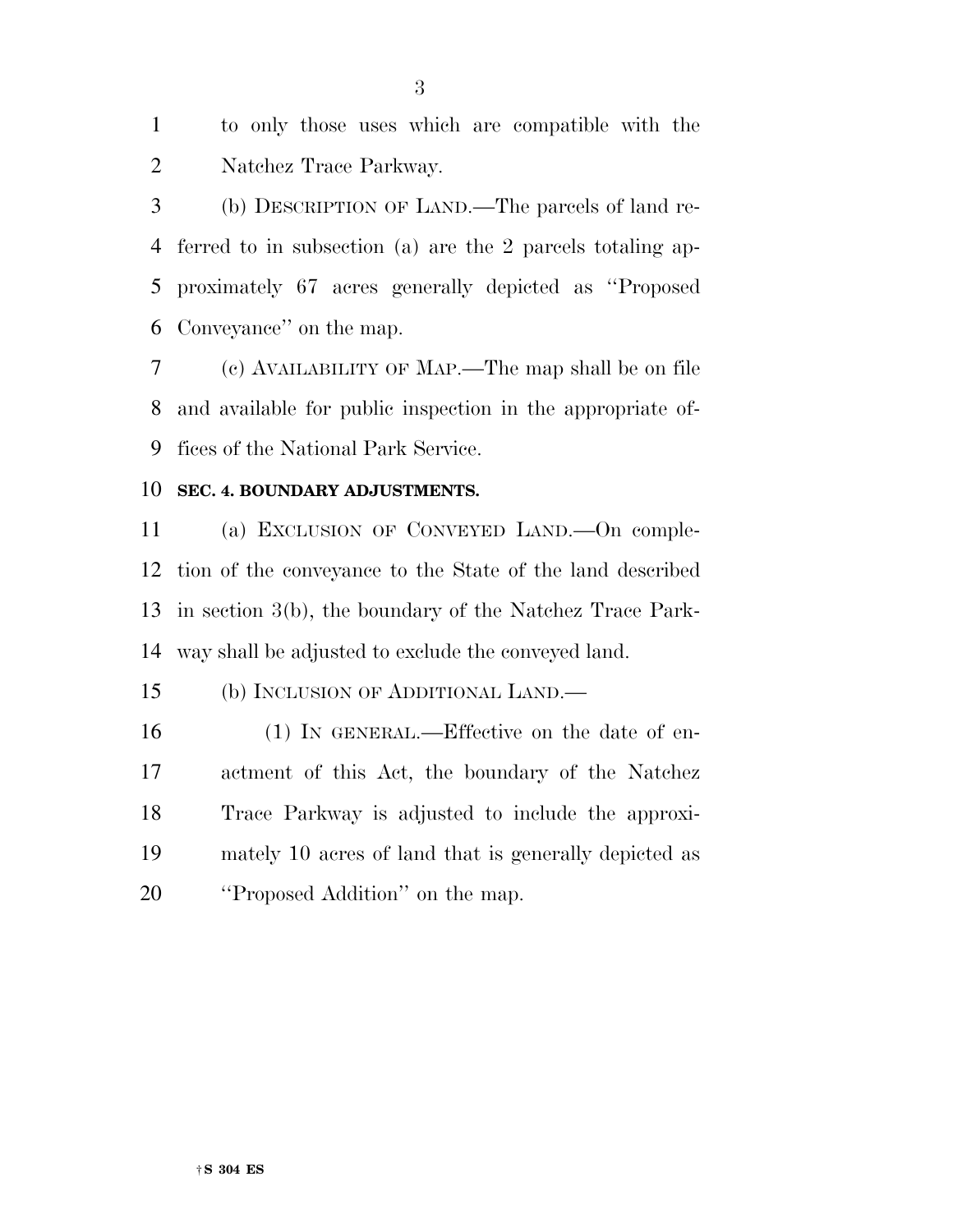to only those uses which are compatible with the Natchez Trace Parkway.

 (b) DESCRIPTION OF LAND.—The parcels of land re- ferred to in subsection (a) are the 2 parcels totaling ap- proximately 67 acres generally depicted as ''Proposed Conveyance'' on the map.

 (c) AVAILABILITY OF MAP.—The map shall be on file and available for public inspection in the appropriate of-fices of the National Park Service.

#### **SEC. 4. BOUNDARY ADJUSTMENTS.**

 (a) EXCLUSION OF CONVEYED LAND.—On comple- tion of the conveyance to the State of the land described in section 3(b), the boundary of the Natchez Trace Park-way shall be adjusted to exclude the conveyed land.

(b) INCLUSION OF ADDITIONAL LAND.—

 (1) IN GENERAL.—Effective on the date of en- actment of this Act, the boundary of the Natchez Trace Parkway is adjusted to include the approxi- mately 10 acres of land that is generally depicted as **''Proposed Addition''** on the map.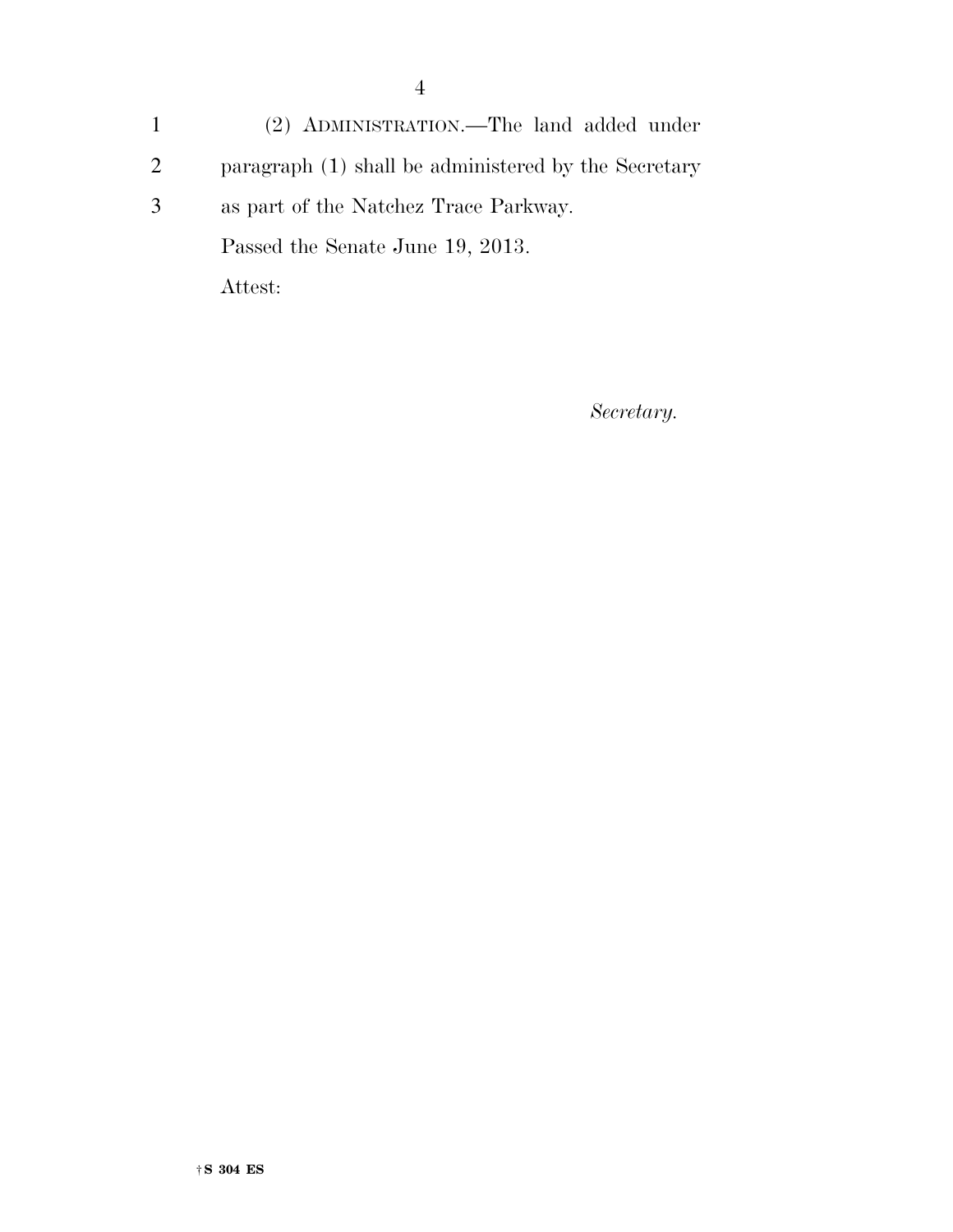1 (2) ADMINISTRATION.—The land added under 2 paragraph (1) shall be administered by the Secretary 3 as part of the Natchez Trace Parkway. Passed the Senate June 19, 2013. Attest:

*Secretary.*